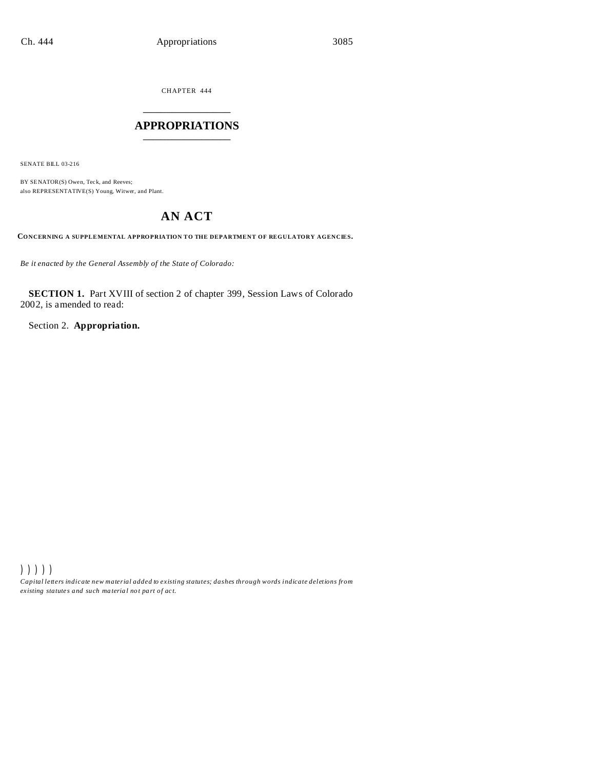CHAPTER 444 \_\_\_\_\_\_\_\_\_\_\_\_\_\_\_

# **APPROPRIATIONS** \_\_\_\_\_\_\_\_\_\_\_\_\_\_\_

SENATE BILL 03-216

BY SENATOR(S) Owen, Teck, and Reeves; also REPRESENTATIVE(S) Young, Witwer, and Plant.

# **AN ACT**

**CONCERNING A SUPPLEMENTAL APPROPRIATION TO THE DEPARTMENT OF REGULATORY AGENCIES.**

*Be it enacted by the General Assembly of the State of Colorado:*

**SECTION 1.** Part XVIII of section 2 of chapter 399, Session Laws of Colorado 2002, is amended to read:

Section 2. **Appropriation.**

))))) *Capital letters indicate new material added to existing statutes; dashes through words indicate deletions from ex isting statute s and such ma teria l no t pa rt of ac t.*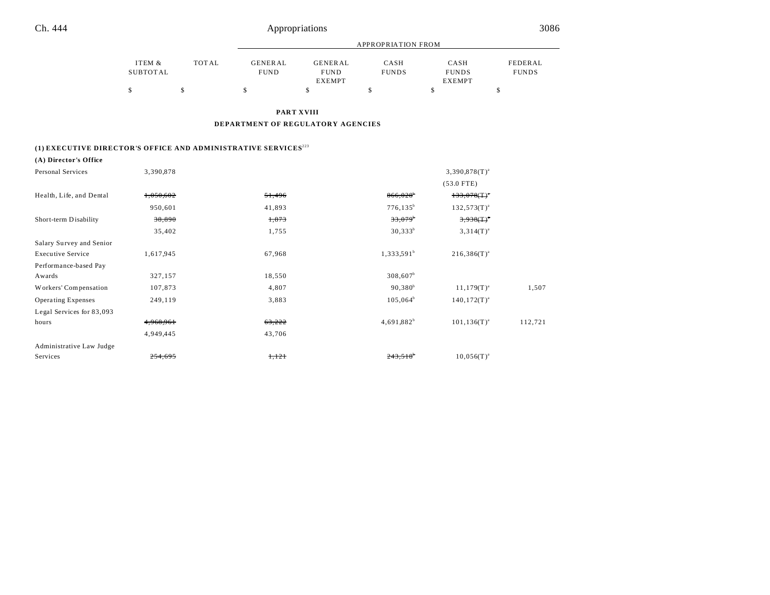|          |       |                |               | APPROPRIATION FROM |               |              |
|----------|-------|----------------|---------------|--------------------|---------------|--------------|
| ITEM &   | TOTAL | <b>GENERAL</b> | GENERAL       | CASH               | CASH          | FEDERAL      |
| SUBTOTAL |       | <b>FUND</b>    | <b>FUND</b>   | <b>FUNDS</b>       | <b>FUNDS</b>  | <b>FUNDS</b> |
|          |       |                | <b>EXEMPT</b> |                    | <b>EXEMPT</b> |              |
|          |       |                |               |                    |               |              |

**PART XVIII**

**DEPARTMENT OF REGULATORY AGENCIES**

## **(1) EXECUTIVE DIRECTOR'S OFFICE AND ADMINISTRATIVE SERVICES**<sup>223</sup>

### **(A) Director's Office**

| <b>Personal Services</b>  | 3,390,878          |        |                        | $3,390,878$ (T) <sup>a</sup> |         |
|---------------------------|--------------------|--------|------------------------|------------------------------|---------|
|                           |                    |        |                        | $(53.0$ FTE)                 |         |
| Health, Life, and Dental  | 1,050,602          | 51,496 | $866,028$ <sup>b</sup> | $133,078($ T) <sup>*</sup>   |         |
|                           | 950,601            | 41,893 | $776, 135^b$           | $132,573(T)^{a}$             |         |
| Short-term Disability     | 38,890             | 1,873  | $33,079^{\circ}$       | $3,938($ T) <sup>*</sup>     |         |
|                           | 35,402             | 1,755  | $30,333^b$             | $3,314(T)^{a}$               |         |
| Salary Survey and Senior  |                    |        |                        |                              |         |
| <b>Executive Service</b>  | 1,617,945          | 67,968 | $1,333,591^b$          | $216,386(T)^{a}$             |         |
| Performance-based Pay     |                    |        |                        |                              |         |
| Awards                    | 327,157            | 18,550 | $308,607^b$            |                              |         |
| Workers' Compensation     | 107,873            | 4,807  | $90,380^{\rm b}$       | $11,179(T)^{a}$              | 1,507   |
| <b>Operating Expenses</b> | 249,119            | 3,883  | $105,064^b$            | $140, 172(T)^{a}$            |         |
| Legal Services for 83,093 |                    |        |                        |                              |         |
| hours                     | 4,968,961          | 63,222 | $4,691,882^b$          | $101, 136(T)^{a}$            | 112,721 |
|                           | 4,949,445          | 43,706 |                        |                              |         |
| Administrative Law Judge  |                    |        |                        |                              |         |
| Services                  | <del>254,695</del> | 1,121  | $243,518$ <sup>*</sup> | $10.056(T)^{a}$              |         |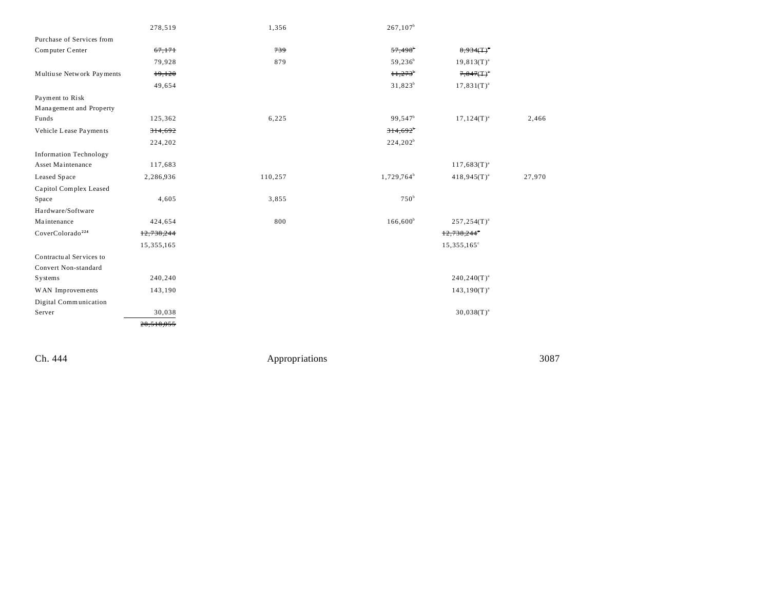|                               | 278,519    | 1,356   | $267,107^b$            |                          |        |
|-------------------------------|------------|---------|------------------------|--------------------------|--------|
| Purchase of Services from     |            |         |                        |                          |        |
| Computer Center               | 67,171     | 739     | $57,498$ <sup>b</sup>  | $8,934(T)^{4}$           |        |
|                               | 79,928     | 879     | $59,236^b$             | $19,813(T)^{a}$          |        |
| Multiuse Network Payments     | 19,120     |         | H, 273                 | $7,847($ T) <sup>*</sup> |        |
|                               | 49,654     |         | $31,823^b$             | $17,831(T)^{a}$          |        |
| Payment to Risk               |            |         |                        |                          |        |
| Management and Property       |            |         |                        |                          |        |
| Funds                         | 125,362    | 6,225   | 99,547 <sup>b</sup>    | $17,124(T)^{a}$          | 2,466  |
| Vehicle Lease Payments        | 314,692    |         | $314,692$ <sup>*</sup> |                          |        |
|                               | 224,202    |         | $224,202^b$            |                          |        |
| <b>Information Technology</b> |            |         |                        |                          |        |
| Asset Maintenance             | 117,683    |         |                        | $117,683(T)^{a}$         |        |
| Leased Space                  | 2,286,936  | 110,257 | 1,729,764 <sup>b</sup> | $418,945(T)^{a}$         | 27,970 |
| Capitol Complex Leased        |            |         |                        |                          |        |
| Space                         | 4,605      | 3,855   | 750 <sup>b</sup>       |                          |        |
| Hardware/Software             |            |         |                        |                          |        |
| Maintenance                   | 424,654    | 800     | $166,600^{\circ}$      | $257, 254(T)^{a}$        |        |
| CoverColorado <sup>224</sup>  | 12,738,244 |         |                        | 12,738,244               |        |
|                               | 15,355,165 |         |                        | $15,355,165^{\circ}$     |        |
| Contractual Services to       |            |         |                        |                          |        |
| Convert Non-standard          |            |         |                        |                          |        |
| Systems                       | 240,240    |         |                        | $240,240(T)^{a}$         |        |
| WAN Improvements              | 143,190    |         |                        | $143,190(T)^{a}$         |        |
| Digital Communication         |            |         |                        |                          |        |
| Server                        | 30,038     |         |                        | $30,038(T)^{a}$          |        |
|                               | 28,518,055 |         |                        |                          |        |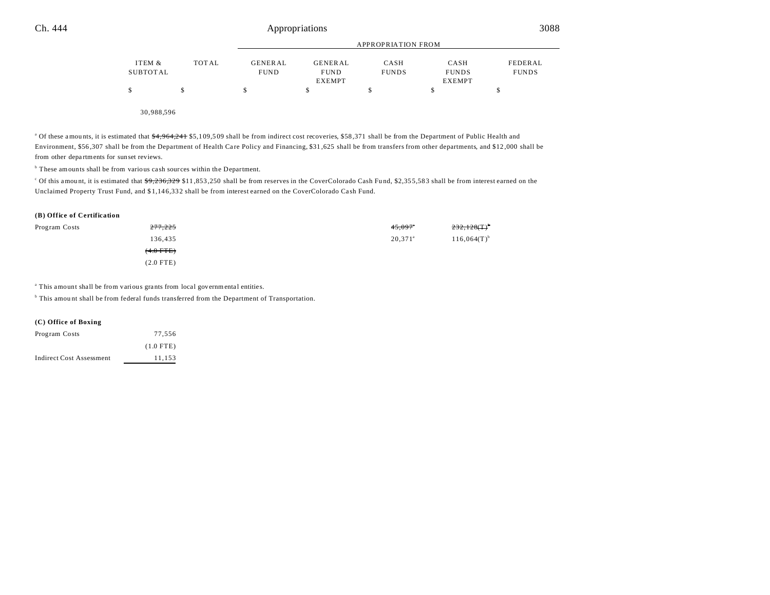|          |       |                |               | APPROPRIATION FROM |               |              |
|----------|-------|----------------|---------------|--------------------|---------------|--------------|
| ITEM &   | TOTAL | <b>GENERAL</b> | GENERAL       | CASH               | CASH          | FEDERAL      |
| SUBTOTAL |       | <b>FUND</b>    | <b>FUND</b>   | <b>FUNDS</b>       | <b>FUNDS</b>  | <b>FUNDS</b> |
|          |       |                | <b>EXEMPT</b> |                    | <b>EXEMPT</b> |              |
| \$       |       | S              |               |                    |               |              |
|          |       |                |               |                    |               |              |
|          |       |                |               |                    |               |              |

30,988,596

<sup>a</sup> Of these amounts, it is estimated that  $\frac{4,964,241}{4}$  \$5,109,509 shall be from indirect cost recoveries, \$58,371 shall be from the Department of Public Health and Environment, \$56,307 shall be from the Department of Health Care Policy and Financing, \$31,625 shall be from transfers from other departments, and \$12,000 shall be from other departments for sunset reviews.

<sup>b</sup> These amounts shall be from various cash sources within the Department.

Of this amount, it is estimated that  $\frac{49,236,329}{911,853,250}$  shall be from reserves in the CoverColorado Cash Fund, \$2,355,583 shall be from interest earned on the Unclaimed Property Trust Fund, and \$1,146,332 shall be from interest earned on the CoverColorado Cash Fund.

#### **(B) Office of Certification**

| Program Costs | 277,225     | 45,097           | $232,128(T)^{6}$ |
|---------------|-------------|------------------|------------------|
|               | 136,435     | $20,371^{\circ}$ | $116,064(T)^{b}$ |
|               | $(4.0$ FTE) |                  |                  |
|               | $(2.0$ FTE) |                  |                  |

<sup>a</sup> This amount shall be from various grants from local governmental entities.

<sup>b</sup> This amount shall be from federal funds transferred from the Department of Transportation.

### **(C) Office of Boxing**

| Program Costs            | 77.556      |
|--------------------------|-------------|
|                          | $(1.0$ FTE) |
| Indirect Cost Assessment | 11,153      |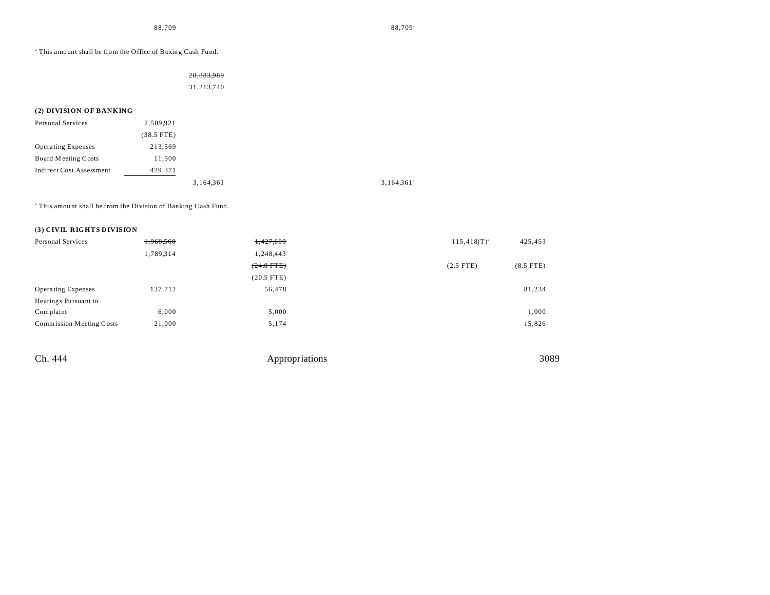<sup>a</sup> This amount shall be from the Office of Boxing Cash Fund.

#### 28,883,989

31,213,740

### **(2) DIVISION OF BANKING**

| Personal Services               | 2,509,921    |           |  |
|---------------------------------|--------------|-----------|--|
|                                 | $(38.5$ FTE) |           |  |
| <b>Operating Expenses</b>       | 213,569      |           |  |
| Board Meeting Costs             | 11.500       |           |  |
| <b>Indirect Cost Assessment</b> | 429,371      |           |  |
|                                 |              | 3.164.361 |  |

 $3,164,361$ <sup>a</sup>

<sup>a</sup> This amount shall be from the Division of Banking Cash Fund.

#### (**3) CIVIL RIGHTS DIVISION**

| Personal Services               | 1,968,560 | 1,427,689    | $115,418(T)^{a}$ | 425,453     |
|---------------------------------|-----------|--------------|------------------|-------------|
|                                 | 1,789,314 | 1,248,443    |                  |             |
|                                 |           | $(24.0$ FTE) | $(2.5$ FTE)      | $(8.5$ FTE) |
|                                 |           | $(20.5$ FTE) |                  |             |
| <b>Operating Expenses</b>       | 137,712   | 56,478       |                  | 81,234      |
| Hearings Pursuant to            |           |              |                  |             |
| Complaint                       | 6,000     | 5,000        |                  | 1,000       |
| <b>Commission Meeting Costs</b> | 21,000    | 5,174        |                  | 15,826      |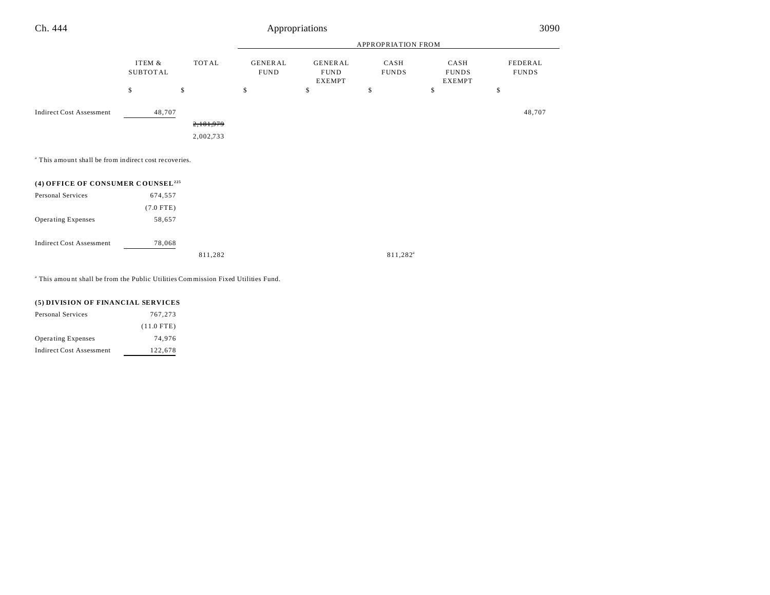| Ch. 444                                                          |                           |              |                               | Appropriations                                 |                      |                                       | 3090                    |
|------------------------------------------------------------------|---------------------------|--------------|-------------------------------|------------------------------------------------|----------------------|---------------------------------------|-------------------------|
|                                                                  |                           |              |                               |                                                | APPROPRIATION FROM   |                                       |                         |
|                                                                  | ITEM &<br><b>SUBTOTAL</b> | <b>TOTAL</b> | <b>GENERAL</b><br><b>FUND</b> | <b>GENERAL</b><br><b>FUND</b><br><b>EXEMPT</b> | CASH<br><b>FUNDS</b> | CASH<br><b>FUNDS</b><br><b>EXEMPT</b> | FEDERAL<br><b>FUNDS</b> |
|                                                                  | \$                        | \$           | \$                            | \$                                             | \$                   | \$                                    | \$                      |
| <b>Indirect Cost Assessment</b>                                  | 48,707                    |              |                               |                                                |                      |                                       | 48,707                  |
|                                                                  |                           | 2,181,979    |                               |                                                |                      |                                       |                         |
|                                                                  |                           | 2,002,733    |                               |                                                |                      |                                       |                         |
| <sup>a</sup> This amount shall be from indirect cost recoveries. |                           |              |                               |                                                |                      |                                       |                         |
| (4) OFFICE OF CONSUMER COUNSEL <sup>225</sup>                    |                           |              |                               |                                                |                      |                                       |                         |
| Personal Services                                                | 674,557                   |              |                               |                                                |                      |                                       |                         |
|                                                                  | $(7.0$ FTE)               |              |                               |                                                |                      |                                       |                         |
| Operating Expenses                                               | 58,657                    |              |                               |                                                |                      |                                       |                         |
| <b>Indirect Cost Assessment</b>                                  | 78,068                    |              |                               |                                                |                      |                                       |                         |
|                                                                  |                           | 811,282      |                               |                                                | 811,282 <sup>a</sup> |                                       |                         |
|                                                                  |                           |              |                               |                                                |                      |                                       |                         |

a This amou nt shall be from the Public Utilities Commission Fixed Utilities Fund.

| (5) DIVISION OF FINANCIAL SERVICES |
|------------------------------------|
|------------------------------------|

| <b>Personal Services</b>        | 767,273      |
|---------------------------------|--------------|
|                                 | $(11.0$ FTE) |
| <b>Operating Expenses</b>       | 74.976       |
| <b>Indirect Cost Assessment</b> | 122,678      |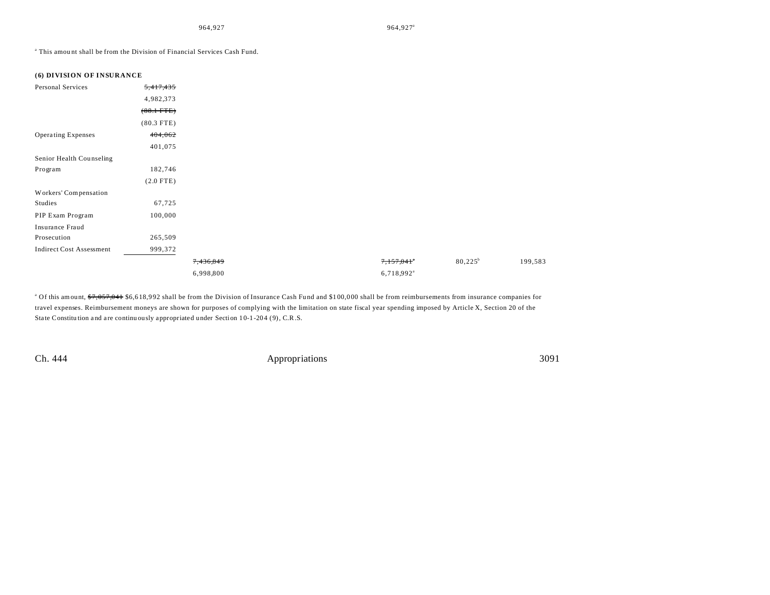964,927<sup>a</sup> 964,927<sup>a</sup>

<sup>a</sup> This amount shall be from the Division of Financial Services Cash Fund.

| (6) DIVISION OF INSURANCE       |                |           |                          |                  |
|---------------------------------|----------------|-----------|--------------------------|------------------|
| Personal Services               | 5,417,435      |           |                          |                  |
|                                 | 4,982,373      |           |                          |                  |
|                                 | $(88.1 - FTE)$ |           |                          |                  |
|                                 | $(80.3$ FTE)   |           |                          |                  |
| Operating Expenses              | 404,062        |           |                          |                  |
|                                 | 401,075        |           |                          |                  |
| Senior Health Counseling        |                |           |                          |                  |
| Program                         | 182,746        |           |                          |                  |
|                                 | $(2.0$ FTE)    |           |                          |                  |
| Workers' Compensation           |                |           |                          |                  |
| Studies                         | 67,725         |           |                          |                  |
| PIP Exam Program                | 100,000        |           |                          |                  |
| Insurance Fraud                 |                |           |                          |                  |
| Prosecution                     | 265,509        |           |                          |                  |
| <b>Indirect Cost Assessment</b> | 999,372        |           |                          |                  |
|                                 |                | 7,436,849 | 7,157,041                | $80,225^{\rm b}$ |
|                                 |                | 6,998,800 | $6,718,992$ <sup>a</sup> |                  |

<sup>a</sup> Of this amount, <del>\$7,057,041</del> \$6,618,992 shall be from the Division of Insurance Cash Fund and \$100,000 shall be from reimbursements from insurance companies for travel expenses. Reimbursement moneys are shown for purposes of complying with the limitation on state fiscal year spending imposed by Article X, Section 20 of the State Constitution and are continuously appropriated under Section 10-1-204 (9), C.R.S.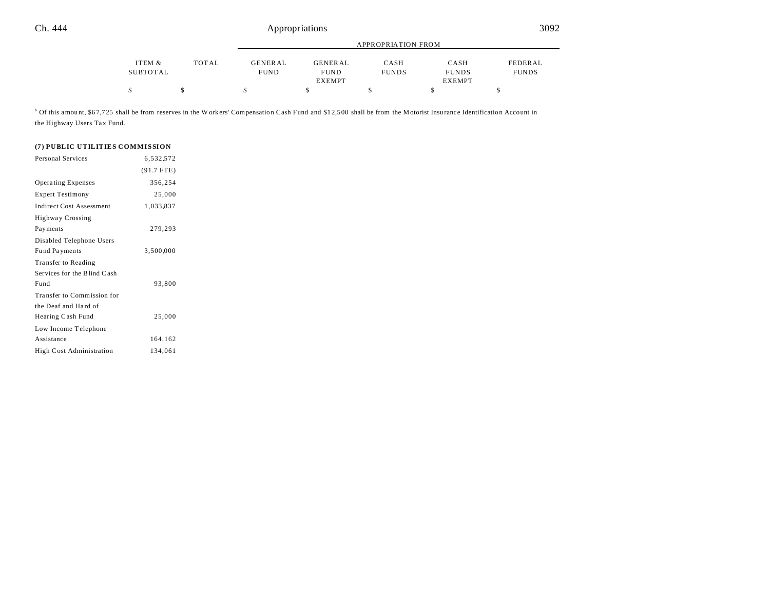|          |              | APPROPRIATION FROM |               |              |               |              |  |
|----------|--------------|--------------------|---------------|--------------|---------------|--------------|--|
| ITEM &   | <b>TOTAL</b> | <b>GENERAL</b>     | GENERAL       | CASH         | CASH          | FEDERAL      |  |
| SUBTOTAL |              | <b>FUND</b>        | <b>FUND</b>   | <b>FUNDS</b> | <b>FUNDS</b>  | <b>FUNDS</b> |  |
|          |              |                    | <b>EXEMPT</b> |              | <b>EXEMPT</b> |              |  |
|          |              |                    |               |              |               |              |  |

<sup>b</sup> Of this amount, \$67,725 shall be from reserves in the Workers' Compensation Cash Fund and \$12,500 shall be from the Motorist Insurance Identification Account in the Highway Users Tax Fund.

# **(7) PUBLIC UTILITIES COMMISSION**

| <b>Personal Services</b>        | 6,532,572    |  |
|---------------------------------|--------------|--|
|                                 | $(91.7$ FTE) |  |
| <b>Operating Expenses</b>       | 356,254      |  |
| <b>Expert Testimony</b>         | 25,000       |  |
| <b>Indirect Cost Assessment</b> | 1,033,837    |  |
| Highway Crossing                |              |  |
| Pay ments                       | 279,293      |  |
| Disabled Telephone Users        |              |  |
| Fund Payments                   | 3,500,000    |  |
| Transfer to Reading             |              |  |
| Services for the Blind Cash     |              |  |
| Fund                            | 93,800       |  |
| Transfer to Commission for      |              |  |
| the Deaf and Hard of            |              |  |
| Hearing Cash Fund               | 25,000       |  |
| Low Income Telephone            |              |  |
| Assistance                      | 164,162      |  |
| <b>High Cost Administration</b> | 134,061      |  |
|                                 |              |  |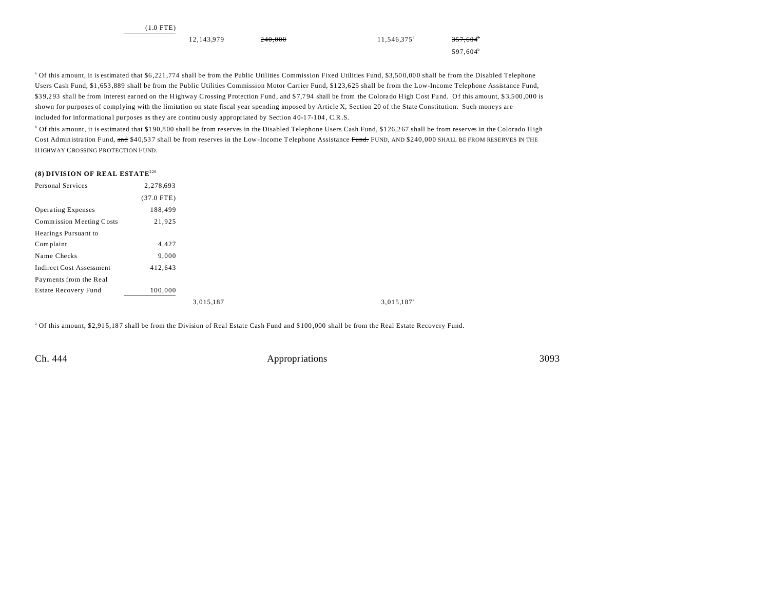| $(1.0$ FTE) |            |         |                      |                   |
|-------------|------------|---------|----------------------|-------------------|
|             | 12,143,979 | 240,000 | $11,546,375^{\circ}$ | $357,604^{\circ}$ |
|             |            |         |                      | $597,604^{\circ}$ |

<sup>a</sup> Of this amount, it is estimated that \$6,221,774 shall be from the Public Utilities Commission Fixed Utilities Fund, \$3,500,000 shall be from the Disabled Telephone Users Cash Fund, \$1,653 ,889 shall be from the Public Utilities Commission Motor Carrier Fund, \$1 23,6 25 shall be from the Low-Income Telephone Assistance Fund, \$39,293 shall be from interest earned on the Highway Crossing Protection Fund, and \$7,794 shall be from the Colorado High Cost Fund. Of this amount, \$3,500,000 is shown for purposes of complying with the limitation on state fiscal year spending imposed by Article X, Section 20 of the State Constitution. Such moneys are included for informational purposes as they are continuously appropriated by Section 40-17-104, C.R.S.

<sup>b</sup> Of this amount, it is estimated that \$190,800 shall be from reserves in the Disabled Telephone Users Cash Fund, \$126,267 shall be from reserves in the Colorado High Cost Administration Fund, and \$40,537 shall be from reserves in the Low-Income Telephone Assistance Fund. FUND, AND \$240,000 SHALL BE FROM RESERVES IN THE HIGHWAY CROSSING PROTECTION FUND.

### **(8) DIVISION OF REAL ESTATE**<sup>226</sup>

| Personal Services               | 2,278,693    |           |                        |
|---------------------------------|--------------|-----------|------------------------|
|                                 | $(37.0$ FTE) |           |                        |
| <b>Operating Expenses</b>       | 188,499      |           |                        |
| <b>Commission Meeting Costs</b> | 21,925       |           |                        |
| Hearings Pursuant to            |              |           |                        |
| Complaint                       | 4,427        |           |                        |
| Name Checks                     | 9,000        |           |                        |
| <b>Indirect Cost Assessment</b> | 412,643      |           |                        |
| Payments from the Real          |              |           |                        |
| <b>Estate Recovery Fund</b>     | 100,000      |           |                        |
|                                 |              | 3,015,187 | 3,015,187 <sup>a</sup> |

<sup>a</sup> Of this amount, \$2,915,187 shall be from the Division of Real Estate Cash Fund and \$100,000 shall be from the Real Estate Recovery Fund.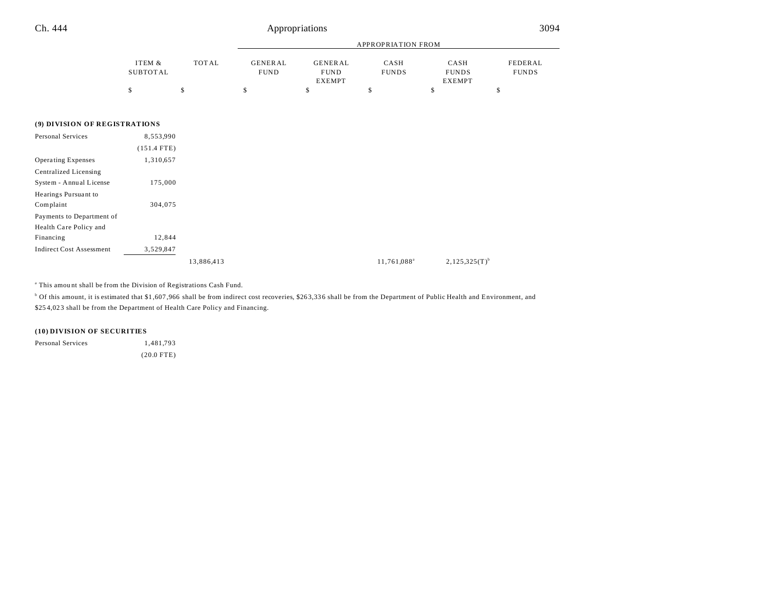|          |              |                 | APPROPRIATION FROM |              |               |              |  |  |
|----------|--------------|-----------------|--------------------|--------------|---------------|--------------|--|--|
|          |              |                 |                    |              |               |              |  |  |
| ITEM &   | <b>TOTAL</b> | <b>GENER AL</b> | GENERAL            | CASH         | CASH          | FEDERAL      |  |  |
| SUBTOTAL |              | <b>FUND</b>     | <b>FUND</b>        | <b>FUNDS</b> | <b>FUNDS</b>  | <b>FUNDS</b> |  |  |
|          |              |                 | EXEMPT             |              | <b>EXEMPT</b> |              |  |  |
|          |              |                 |                    |              |               |              |  |  |

### **(9) DIVISION OF REGISTRATIONS**

| Personal Services               | 8,553,990     |            |                         |                    |
|---------------------------------|---------------|------------|-------------------------|--------------------|
|                                 | $(151.4$ FTE) |            |                         |                    |
| <b>Operating Expenses</b>       | 1,310,657     |            |                         |                    |
| Centralized Licensing           |               |            |                         |                    |
| System - Annual License         | 175,000       |            |                         |                    |
| Hearings Pursuant to            |               |            |                         |                    |
| Complaint                       | 304,075       |            |                         |                    |
| Payments to Department of       |               |            |                         |                    |
| Health Care Policy and          |               |            |                         |                    |
| Financing                       | 12,844        |            |                         |                    |
| <b>Indirect Cost Assessment</b> | 3,529,847     |            |                         |                    |
|                                 |               | 13,886,413 | 11,761,088 <sup>a</sup> | $2,125,325(T)^{b}$ |

<sup>a</sup> This amount shall be from the Division of Registrations Cash Fund.

 $^{\circ}$  Of this amount, it is estimated that \$1,607,966 shall be from indirect cost recoveries, \$263,336 shall be from the Department of Public Health and Environment, and \$25 4,02 3 shall be from the Department of Health Care Policy and Financing.

### **(10) DIVISION OF SECURITIES**

| Personal Services | 1,481,793    |
|-------------------|--------------|
|                   | $(20.0$ FTE) |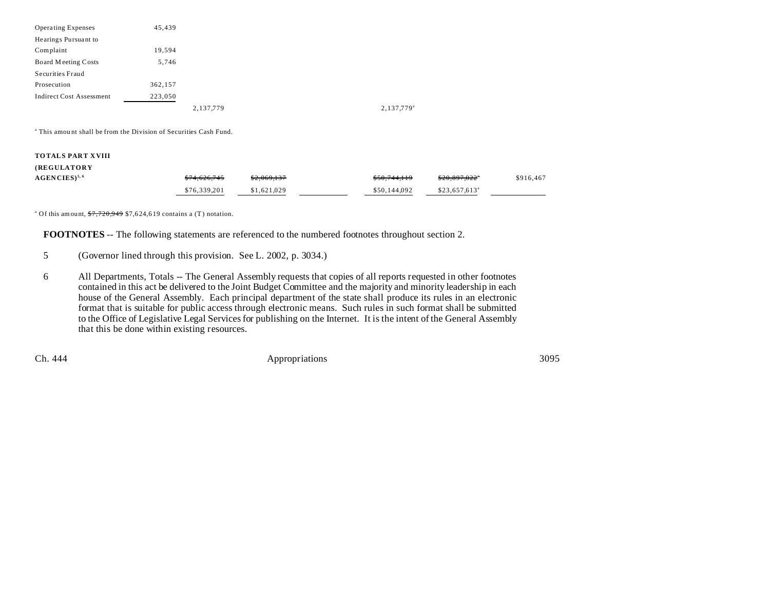| 45,439  |           |                        |
|---------|-----------|------------------------|
|         |           |                        |
| 19,594  |           |                        |
| 5,746   |           |                        |
|         |           |                        |
| 362,157 |           |                        |
| 223,050 |           |                        |
|         | 2,137,779 | 2,137,779 <sup>a</sup> |
|         |           |                        |

<sup>a</sup> This amount shall be from the Division of Securities Cash Fund.

### **TOTALS PART XVIII**

# **(REGULATORY**

| $AGENCIES$ <sup>5, 6</sup> | \$74,626,745 | \$2,069,137 | \$50.744.119 | \$20,897,022"              | \$916,467 |
|----------------------------|--------------|-------------|--------------|----------------------------|-----------|
|                            | \$76,339,201 | \$1,621,029 | \$50,144,092 | $$23.657.613$ <sup>a</sup> |           |

<sup>a</sup> Of this amount,  $\frac{$7,720,949}{$7,624,619}$  contains a (T) notation.

**FOOTNOTES** -- The following statements are referenced to the numbered footnotes throughout section 2.

5 (Governor lined through this provision. See L. 2002, p. 3034.)

6 All Departments, Totals -- The General Assembly requests that copies of all reports requested in other footnotes contained in this act be delivered to the Joint Budget Committee and the majority and minority leadership in each house of the General Assembly. Each principal department of the state shall produce its rules in an electronic format that is suitable for public access through electronic means. Such rules in such format shall be submitted to the Office of Legislative Legal Services for publishing on the Internet. It is the intent of the General Assembly that this be done within existing resources.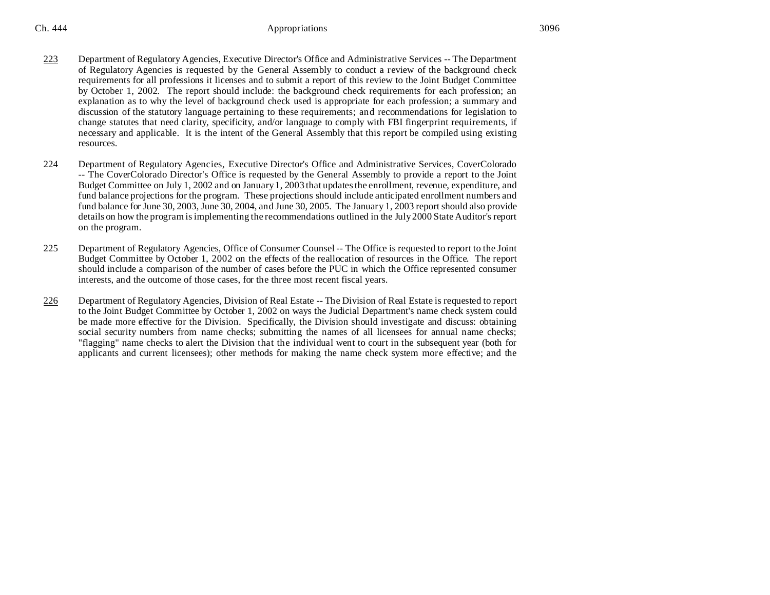- 223 Department of Regulatory Agencies, Executive Director's Office and Administrative Services -- The Department of Regulatory Agencies is requested by the General Assembly to conduct a review of the background check requirements for all professions it licenses and to submit a report of this review to the Joint Budget Committee by October 1, 2002. The report should include: the background check requirements for each profession; an explanation as to why the level of background check used is appropriate for each profession; a summary and discussion of the statutory language pertaining to these requirements; and recommendations for legislation to change statutes that need clarity, specificity, and/or language to comply with FBI fingerprint requirements, if necessary and applicable. It is the intent of the General Assembly that this report be compiled using existing resources.
- 224 Department of Regulatory Agencies, Executive Director's Office and Administrative Services, CoverColorado -- The CoverColorado Director's Office is requested by the General Assembly to provide a report to the Joint Budget Committee on July 1, 2002 and on January 1, 2003 that updates the enrollment, revenue, expenditure, and fund balance projections for the program. These projections should include anticipated enrollment numbers and fund balance for June 30, 2003, June 30, 2004, and June 30, 2005. The January 1, 2003 report should also provide details on how the program is implementing the recommendations outlined in the July 2000 State Auditor's report on the program.
- 225 Department of Regulatory Agencies, Office of Consumer Counsel -- The Office is requested to report to the Joint Budget Committee by October 1, 2002 on the effects of the reallocation of resources in the Office. The report should include a comparison of the number of cases before the PUC in which the Office represented consumer interests, and the outcome of those cases, for the three most recent fiscal years.
- 226 Department of Regulatory Agencies, Division of Real Estate -- The Division of Real Estate is requested to report to the Joint Budget Committee by October 1, 2002 on ways the Judicial Department's name check system could be made more effective for the Division. Specifically, the Division should investigate and discuss: obtaining social security numbers from name checks; submitting the names of all licensees for annual name checks; "flagging" name checks to alert the Division that the individual went to court in the subsequent year (both for applicants and current licensees); other methods for making the name check system more effective; and the